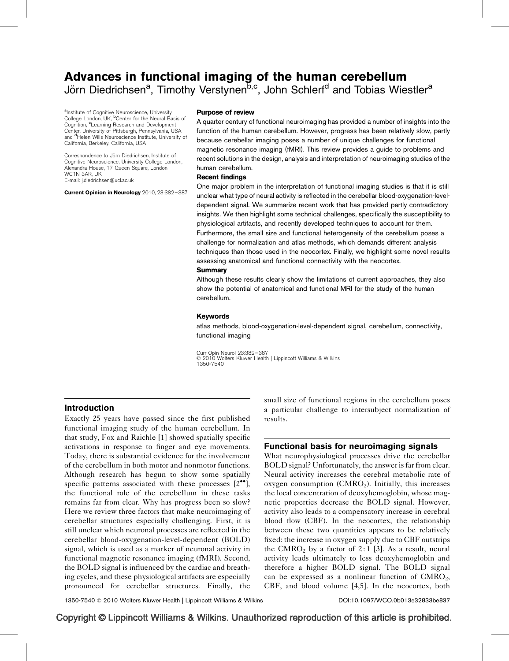# Advances in functional imaging of the human cerebellum Jörn Diedrichsen<sup>a</sup>, Timothy Verstynen<sup>b,c</sup>, John Schlerf<sup>d</sup> and Tobias Wiestler<sup>a</sup>

alnstitute of Cognitive Neuroscience, University College London, UK, <sup>b</sup>Center for the Neural Basis of Cognition, <sup>c</sup>Learning Research and Development Center, University of Pittsburgh, Pennsylvania, USA and <sup>d</sup>Helen Wills Neuroscience Institute, University of California, Berkeley, California, USA

Correspondence to Jörn Diedrichsen, Institute of Cognitive Neuroscience, University College London, Alexandra House, 17 Queen Square, London WC<sub>1</sub>N 3AR, UK E-mail: [j.diedrichsen@ucl.ac.uk](mailto:j.diedrichsen@ucl.ac.uk)

Current Opinion in Neurology 2010, 23:382–387

### Purpose of review

A quarter century of functional neuroimaging has provided a number of insights into the function of the human cerebellum. However, progress has been relatively slow, partly because cerebellar imaging poses a number of unique challenges for functional magnetic resonance imaging (fMRI). This review provides a guide to problems and recent solutions in the design, analysis and interpretation of neuroimaging studies of the human cerebellum.

### Recent findings

One major problem in the interpretation of functional imaging studies is that it is still unclear what type of neural activity is reflected in the cerebellar blood-oxygenation-leveldependent signal. We summarize recent work that has provided partly contradictory insights. We then highlight some technical challenges, specifically the susceptibility to physiological artifacts, and recently developed techniques to account for them. Furthermore, the small size and functional heterogeneity of the cerebellum poses a challenge for normalization and atlas methods, which demands different analysis techniques than those used in the neocortex. Finally, we highlight some novel results assessing anatomical and functional connectivity with the neocortex.

### **Summary**

Although these results clearly show the limitations of current approaches, they also show the potential of anatomical and functional MRI for the study of the human cerebellum.

### Keywords

atlas methods, blood-oxygenation-level-dependent signal, cerebellum, connectivity, functional imaging

Curr Opin Neurol 23:382–387 © 2010 Wolters Kluwer Health | Lippincott Williams & Wilkins 1350-7540

### Introduction

Exactly 25 years have passed since the first published functional imaging study of the human cerebellum. In that study, Fox and Raichle [\[1\]](#page-4-0) showed spatially specific activations in response to finger and eye movements. Today, there is substantial evidence for the involvement of the cerebellum in both motor and nonmotor functions. Although research has begun to show some spatially specific patterns associated with these processes  $[2^{\bullet \bullet}]$  $[2^{\bullet \bullet}]$  $[2^{\bullet \bullet}]$ , the functional role of the cerebellum in these tasks remains far from clear. Why has progress been so slow? Here we review three factors that make neuroimaging of cerebellar structures especially challenging. First, it is still unclear which neuronal processes are reflected in the cerebellar blood-oxygenation-level-dependent (BOLD) signal, which is used as a marker of neuronal activity in functional magnetic resonance imaging (fMRI). Second, the BOLD signal is influenced by the cardiac and breathing cycles, and these physiological artifacts are especially pronounced for cerebellar structures. Finally, the small size of functional regions in the cerebellum poses a particular challenge to intersubject normalization of results.

# Functional basis for neuroimaging signals

What neurophysiological processes drive the cerebellar BOLD signal? Unfortunately, the answer is far from clear. Neural activity increases the cerebral metabolic rate of oxygen consumption  $(CMRO<sub>2</sub>)$ . Initially, this increases the local concentration of deoxyhemoglobin, whose magnetic properties decrease the BOLD signal. However, activity also leads to a compensatory increase in cerebral blood flow (CBF). In the neocortex, the relationship between these two quantities appears to be relatively fixed: the increase in oxygen supply due to CBF outstrips the CMRO<sub>2</sub> by a factor of 2:1 [\[3\]](#page-4-0). As a result, neural activity leads ultimately to less deoxyhemoglobin and therefore a higher BOLD signal. The BOLD signal can be expressed as a nonlinear function of  $CMRO<sub>2</sub>$ , CBF, and blood volume [\[4,5\]](#page-4-0). In the neocortex, both

1350-7540 - 2010 Wolters Kluwer Health | Lippincott Williams & Wilkins DOI[:10.1097/WCO.0b013e32833be837](http://dx.doi.org/10.1097/WCO.0b013e32833be837)

# Copyright © Lippincott Williams & Wilkins. Unauthorized reproduction of this article is prohibited.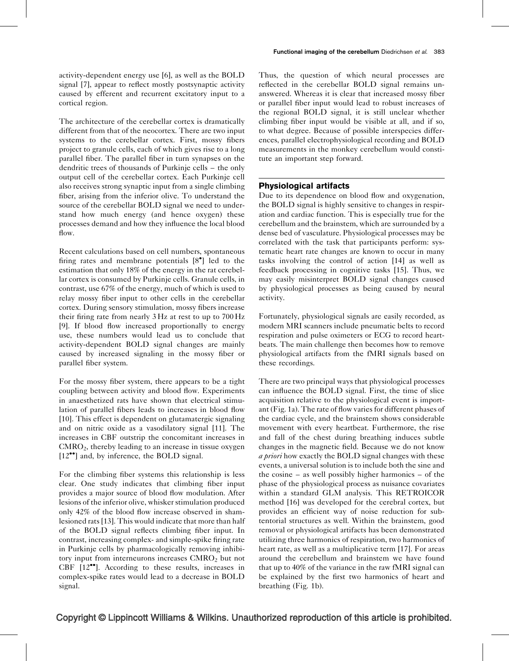activity-dependent energy use [\[6\],](#page-4-0) as well as the BOLD signal [\[7\]](#page-4-0), appear to reflect mostly postsynaptic activity caused by efferent and recurrent excitatory input to a cortical region.

The architecture of the cerebellar cortex is dramatically different from that of the neocortex. There are two input systems to the cerebellar cortex. First, mossy fibers project to granule cells, each of which gives rise to a long parallel fiber. The parallel fiber in turn synapses on the dendritic trees of thousands of Purkinje cells – the only output cell of the cerebellar cortex. Each Purkinje cell also receives strong synaptic input from a single climbing fiber, arising from the inferior olive. To understand the source of the cerebellar BOLD signal we need to understand how much energy (and hence oxygen) these processes demand and how they influence the local blood flow.

Recent calculations based on cell numbers, spontaneous firing rates and membrane potentials  $[8^{\bullet}]$  $[8^{\bullet}]$  $[8^{\bullet}]$  led to the estimation that only 18% of the energy in the rat cerebellar cortex is consumed by Purkinje cells. Granule cells, in contrast, use 67% of the energy, much of which is used to relay mossy fiber input to other cells in the cerebellar cortex. During sensory stimulation, mossy fibers increase their firing rate from nearly 3 Hz at rest to up to 700 Hz [\[9\]](#page-4-0). If blood flow increased proportionally to energy use, these numbers would lead us to conclude that activity-dependent BOLD signal changes are mainly caused by increased signaling in the mossy fiber or parallel fiber system.

For the mossy fiber system, there appears to be a tight coupling between activity and blood flow. Experiments in anaesthetized rats have shown that electrical stimulation of parallel fibers leads to increases in blood flow [\[10\]](#page-4-0). This effect is dependent on glutamatergic signaling and on nitric oxide as a vasodilatory signal [\[11\]](#page-4-0). The increases in CBF outstrip the concomitant increases in CMRO2, thereby leading to an increase in tissue oxygen [\[12](#page-4-0)<sup>••</sup>[\]](#page-4-0) and, by inference, the BOLD signal.

For the climbing fiber systems this relationship is less clear. One study indicates that climbing fiber input provides a major source of blood flow modulation. After lesions of the inferior olive, whisker stimulation produced only 42% of the blood flow increase observed in shamlesioned rats [\[13\].](#page-4-0) This would indicate that more than half of the BOLD signal reflects climbing fiber input. In contrast, increasing complex- and simple-spike firing rate in Purkinje cells by pharmacologically removing inhibitory input from interneurons increases CMRO<sub>2</sub> but not CBF [\[12](#page-4-0)<sup>\*\*</sup>[\]](#page-4-0). According to these results, increases in complex-spike rates would lead to a decrease in BOLD signal.

Thus, the question of which neural processes are reflected in the cerebellar BOLD signal remains unanswered. Whereas it is clear that increased mossy fiber or parallel fiber input would lead to robust increases of the regional BOLD signal, it is still unclear whether climbing fiber input would be visible at all, and if so, to what degree. Because of possible interspecies differences, parallel electrophysiological recording and BOLD measurements in the monkey cerebellum would constitute an important step forward.

# Physiological artifacts

Due to its dependence on blood flow and oxygenation, the BOLD signal is highly sensitive to changes in respiration and cardiac function. This is especially true for the cerebellum and the brainstem, which are surrounded by a dense bed of vasculature. Physiological processes may be correlated with the task that participants perform: systematic heart rate changes are known to occur in many tasks involving the control of action [\[14\]](#page-4-0) as well as feedback processing in cognitive tasks [\[15\]](#page-4-0). Thus, we may easily misinterpret BOLD signal changes caused by physiological processes as being caused by neural activity.

Fortunately, physiological signals are easily recorded, as modern MRI scanners include pneumatic belts to record respiration and pulse oximeters or ECG to record heartbeats. The main challenge then becomes how to remove physiological artifacts from the fMRI signals based on these recordings.

There are two principal ways that physiological processes can influence the BOLD signal. First, the time of slice acquisition relative to the physiological event is important [\(Fig. 1](#page-2-0)a). The rate of flow varies for different phases of the cardiac cycle, and the brainstem shows considerable movement with every heartbeat. Furthermore, the rise and fall of the chest during breathing induces subtle changes in the magnetic field. Because we do not know a priori how exactly the BOLD signal changes with these events, a universal solution is to include both the sine and the cosine – as well possibly higher harmonics – of the phase of the physiological process as nuisance covariates within a standard GLM analysis. This RETROICOR method [\[16\]](#page-4-0) was developed for the cerebral cortex, but provides an efficient way of noise reduction for subtentorial structures as well. Within the brainstem, good removal or physiological artifacts has been demonstrated utilizing three harmonics of respiration, two harmonics of heart rate, as well as a multiplicative term [\[17\]](#page-5-0). For areas around the cerebellum and brainstem we have found that up to 40% of the variance in the raw fMRI signal can be explained by the first two harmonics of heart and breathing ([Fig. 1](#page-2-0)b).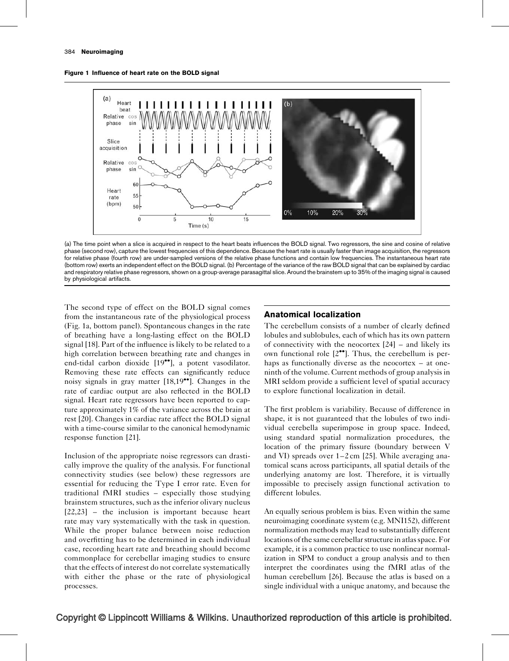<span id="page-2-0"></span>



(a) The time point when a slice is acquired in respect to the heart beats influences the BOLD signal. Two regressors, the sine and cosine of relative phase (second row), capture the lowest frequencies of this dependence. Because the heart rate is usually faster than image acquisition, the regressors for relative phase (fourth row) are under-sampled versions of the relative phase functions and contain low frequencies. The instantaneous heart rate (bottom row) exerts an independent effect on the BOLD signal. (b) Percentage of the variance of the raw BOLD signal that can be explained by cardiac and respiratory relative phase regressors, shown on a group-average parasagittal slice. Around the brainstem up to 35% of the imaging signal is caused by physiological artifacts.

The second type of effect on the BOLD signal comes from the instantaneous rate of the physiological process (Fig. 1a, bottom panel). Spontaneous changes in the rate of breathing have a long-lasting effect on the BOLD signal [\[18\]](#page-5-0). Part of the influence is likely to be related to a high correlation between breathing rate and changes in end-tidal carbon dioxide [\[19](#page-5-0)\*\*[\]](#page-5-0), a potent vasodilator. Removing these rate effects can significantly reduce noisy signals in gray matter [\[18,19](#page-5-0)<sup>••</sup>[\].](#page-5-0) Changes in the rate of cardiac output are also reflected in the BOLD signal. Heart rate regressors have been reported to capture approximately 1% of the variance across the brain at rest [\[20\]](#page-5-0). Changes in cardiac rate affect the BOLD signal with a time-course similar to the canonical hemodynamic response function [\[21\].](#page-5-0)

Inclusion of the appropriate noise regressors can drastically improve the quality of the analysis. For functional connectivity studies (see below) these regressors are essential for reducing the Type I error rate. Even for traditional fMRI studies – especially those studying brainstem structures, such as the inferior olivary nucleus [\[22,23\]](#page-5-0) – the inclusion is important because heart rate may vary systematically with the task in question. While the proper balance between noise reduction and overfitting has to be determined in each individual case, recording heart rate and breathing should become commonplace for cerebellar imaging studies to ensure that the effects of interest do not correlate systematically with either the phase or the rate of physiological processes.

# Anatomical localization

The cerebellum consists of a number of clearly defined lobules and sublobules, each of which has its own pattern of connectivity with the neocortex [\[24\]](#page-5-0) – and likely its own functional role  $[2^{\bullet\bullet}]$  $[2^{\bullet\bullet}]$ . Thus, the cerebellum is perhaps as functionally diverse as the neocortex – at oneninth of the volume. Current methods of group analysis in MRI seldom provide a sufficient level of spatial accuracy to explore functional localization in detail.

The first problem is variability. Because of difference in shape, it is not guaranteed that the lobules of two individual cerebella superimpose in group space. Indeed, using standard spatial normalization procedures, the location of the primary fissure (boundary between V and VI) spreads over 1–2 cm [\[25\].](#page-5-0) While averaging anatomical scans across participants, all spatial details of the underlying anatomy are lost. Therefore, it is virtually impossible to precisely assign functional activation to different lobules.

An equally serious problem is bias. Even within the same neuroimaging coordinate system (e.g. MNI152), different normalization methods may lead to substantially different locations of the same cerebellar structure in atlas space. For example, it is a common practice to use nonlinear normalization in SPM to conduct a group analysis and to then interpret the coordinates using the fMRI atlas of the human cerebellum [\[26\]](#page-5-0). Because the atlas is based on a single individual with a unique anatomy, and because the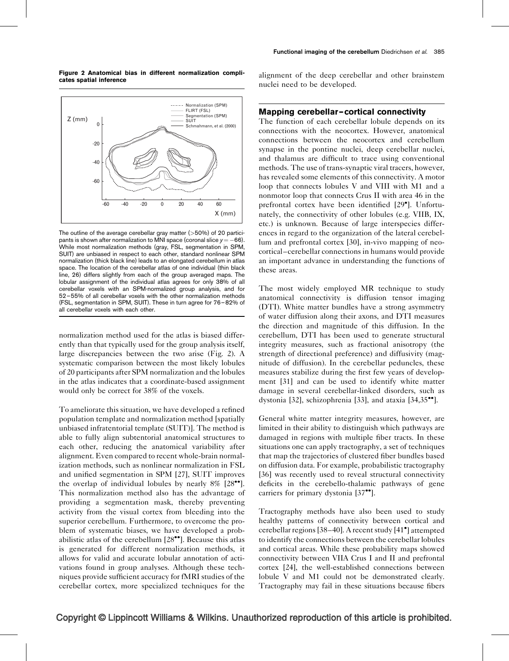Figure 2 Anatomical bias in different normalization complicates spatial inference



The outline of the average cerebellar gray matter  $($ >50%) of 20 participants is shown after normalization to MNI space (coronal slice  $y = -66$ ). While most normalization methods (gray, FSL, segmentation in SPM, SUIT) are unbiased in respect to each other, standard nonlinear SPM normalization (thick black line) leads to an elongated cerebellum in atlas space. The location of the cerebellar atlas of one individual (thin black line, 26) differs slightly from each of the group averaged maps. The lobular assignment of the individual atlas agrees for only 38% of all cerebellar voxels with an SPM-normalized group analysis, and for 52–55% of all cerebellar voxels with the other normalization methods (FSL, segmentation in SPM, SUIT). These in turn agree for 76–82% of all cerebellar voxels with each other.

normalization method used for the atlas is biased differently than that typically used for the group analysis itself, large discrepancies between the two arise (Fig. 2). A systematic comparison between the most likely lobules of 20 participants after SPM normalization and the lobules in the atlas indicates that a coordinate-based assignment would only be correct for 38% of the voxels.

To ameliorate this situation, we have developed a refined population template and normalization method [spatially unbiased infratentorial template (SUIT)]. The method is able to fully align subtentorial anatomical structures to each other, reducing the anatomical variability after alignment. Even compared to recent whole-brain normalization methods, such as nonlinear normalization in FSL and unified segmentation in SPM [\[27\],](#page-5-0) SUIT improves the overlap of individual lobules by nearly  $8\%$  [\[28](#page-5-0)<sup> $\bullet$ </sup>[\]](#page-5-0). This normalization method also has the advantage of providing a segmentation mask, thereby preventing activity from the visual cortex from bleeding into the superior cerebellum. Furthermore, to overcome the problem of systematic biases, we have developed a prob-abilistic atlas of the cerebellum [\[28](#page-5-0)<sup>\*</sup>[\]](#page-5-0). Because this atlas is generated for different normalization methods, it allows for valid and accurate lobular annotation of activations found in group analyses. Although these techniques provide sufficient accuracy for fMRI studies of the cerebellar cortex, more specialized techniques for the

alignment of the deep cerebellar and other brainstem nuclei need to be developed.

### Mapping cerebellar–cortical connectivity

The function of each cerebellar lobule depends on its connections with the neocortex. However, anatomical connections between the neocortex and cerebellum synapse in the pontine nuclei, deep cerebellar nuclei, and thalamus are difficult to trace using conventional methods. The use of trans-synaptic viral tracers, however, has revealed some elements of this connectivity. A motor loop that connects lobules V and VIII with M1 and a nonmotor loop that connects Crus II with area 46 in the prefrontal cortex have been identified [\[29](#page-5-0)°[\]](#page-5-0). Unfortunately, the connectivity of other lobules (e.g. VIIB, IX, etc.) is unknown. Because of large interspecies differences in regard to the organization of the lateral cerebellum and prefrontal cortex [\[30\],](#page-5-0) in-vivo mapping of neocortical–cerebellar connections in humans would provide an important advance in understanding the functions of these areas.

The most widely employed MR technique to study anatomical connectivity is diffusion tensor imaging (DTI). White matter bundles have a strong asymmetry of water diffusion along their axons, and DTI measures the direction and magnitude of this diffusion. In the cerebellum, DTI has been used to generate structural integrity measures, such as fractional anisotropy (the strength of directional preference) and diffusivity (magnitude of diffusion). In the cerebellar peduncles, these measures stabilize during the first few years of development [\[31\]](#page-5-0) and can be used to identify white matter damage in several cerebellar-linked disorders, such as dystonia [\[32\]](#page-5-0), schizophrenia [\[33\]](#page-5-0), and ataxia [\[34,35](#page-5-0)<sup>\*</sup>[\]](#page-5-0).

General white matter integrity measures, however, are limited in their ability to distinguish which pathways are damaged in regions with multiple fiber tracts. In these situations one can apply tractography, a set of techniques that map the trajectories of clustered fiber bundles based on diffusion data. For example, probabilistic tractography [\[36\]](#page-5-0) was recently used to reveal structural connectivity deficits in the cerebello-thalamic pathways of gene carriers for primary dystonia [\[37](#page-5-0)"[\].](#page-5-0)

Tractography methods have also been used to study healthy patterns of connectivity between cortical and cerebellar regions [\[38–40\].](#page-5-0) A recent study [\[41](#page-5-0)- [\]](#page-5-0) attempted to identify the connections between the cerebellar lobules and cortical areas. While these probability maps showed connectivity between VIIA Crus I and II and prefrontal cortex [\[24\]](#page-5-0), the well-established connections between lobule V and M1 could not be demonstrated clearly. Tractography may fail in these situations because fibers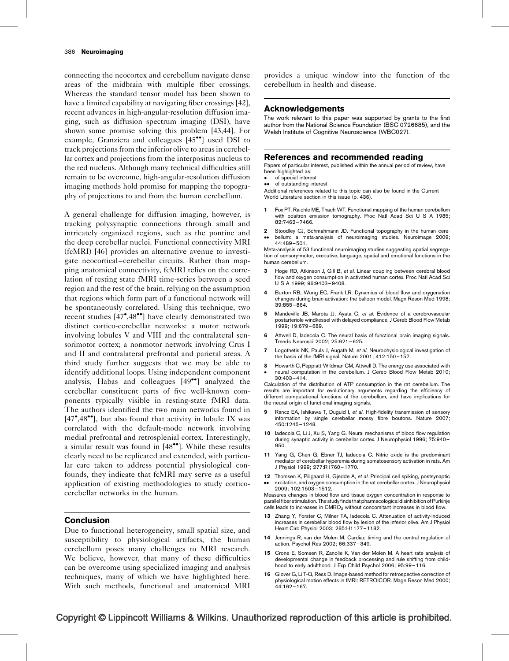<span id="page-4-0"></span>connecting the neocortex and cerebellum navigate dense areas of the midbrain with multiple fiber crossings. Whereas the standard tensor model has been shown to have a limited capability at navigating fiber crossings [\[42\]](#page-5-0), recent advances in high-angular-resolution diffusion imaging, such as diffusion spectrum imaging (DSI), have shown some promise solving this problem [\[43,44\]](#page-5-0). For example, Granziera and colleagues [\[45](#page-5-0)<sup>••</sup>[\]](#page-5-0) used DSI to track projections from the inferior olive to areas in cerebellar cortex and projections from the interpositus nucleus to the red nucleus. Although many technical difficulties still remain to be overcome, high-angular-resolution diffusion imaging methods hold promise for mapping the topography of projections to and from the human cerebellum.

A general challenge for diffusion imaging, however, is tracking polysynaptic connections through small and intricately organized regions, such as the pontine and the deep cerebellar nuclei. Functional connectivity MRI (fcMRI) [\[46\]](#page-5-0) provides an alternative avenue to investigate neocortical–cerebellar circuits. Rather than mapping anatomical connectivity, fcMRI relies on the correlation of resting state fMRI time-series between a seed region and the rest of the brain, relying on the assumption that regions which form part of a functional network will be spontaneously correlated. Using this technique, two recent studies [\[47](#page-5-0)°[,48](#page-5-0)°<sup>•</sup>[\]](#page-5-0) have clearly demonstrated two distinct cortico-cerebellar networks: a motor network involving lobules V and VIII and the contralateral sensorimotor cortex; a nonmotor network involving Crus I and II and contralateral prefrontal and parietal areas. A third study further suggests that we may be able to identify additional loops. Using independent component analysis, Habas and colleagues [\[49](#page-5-0)<sup>••</sup>[\]](#page-5-0) analyzed the cerebellar constituent parts of five well-known components typically visible in resting-state fMRI data. The authors identified the two main networks found in [\[47](#page-5-0)\*[,48](#page-5-0)\*\*[\]](#page-5-0), but also found that activity in lobule IX was correlated with the default-mode network involving medial prefrontal and retrosplenial cortex. Interestingly, a similar result was found in [\[48](#page-5-0)<sup>\*</sup>[\]](#page-5-0). While these results clearly need to be replicated and extended, with particular care taken to address potential physiological confounds, they indicate that fcMRI may serve as a useful application of existing methodologies to study corticocerebellar networks in the human.

## Conclusion

Due to functional heterogeneity, small spatial size, and susceptibility to physiological artifacts, the human cerebellum poses many challenges to MRI research. We believe, however, that many of these difficulties can be overcome using specialized imaging and analysis techniques, many of which we have highlighted here. With such methods, functional and anatomical MRI

provides a unique window into the function of the cerebellum in health and disease.

### Acknowledgements

The work relevant to this paper was supported by grants to the first author from the National Science Foundation (BSC 0726685), and the Welsh Institute of Cognitive Neuroscience (WBC027).

### References and recommended reading

Papers of particular interest, published within the annual period of review, have been highlighted as:

- of special interest
- $\bullet \bullet$ of outstanding interest

Additional references related to this topic can also be found in the Current World Literature section in this issue (p. 436).

- 1 Fox PT, Raichle ME, Thach WT. Functional mapping of the human cerebellum with positron emission tomography. Proc Natl Acad Sci U S A 1985; 82:7462–7466.
- 2 Stoodley CJ, Schmahmann JD. Functional topography in the human cere-
- $\bullet$ bellum: a meta-analysis of neuroimaging studies. Neuroimage 2009; 44:489–501.

Meta-analysis of 53 functional neuroimaging studies suggesting spatial segregation of sensory-motor, executive, language, spatial and emotional functions in the human cerebellum.

- 3 Hoge RD, Atkinson J, Gill B, et al. Linear coupling between cerebral blood flow and oxygen consumption in activated human cortex. Proc Natl Acad Sci U S A 1999; 96:9403–9408.
- Buxton RB, Wong EC, Frank LR, Dynamics of blood flow and oxygenation changes during brain activation: the balloon model. Magn Reson Med 1998; 39:855–864.
- 5 Mandeville JB, Marota JJ, Ayata C, et al. Evidence of a cerebrovascular postarteriole windkessel with delayed compliance. J Cereb Blood Flow Metab 1999; 19:679–689.
- 6 Attwell D, Iadecola C. The neural basis of functional brain imaging signals. Trends Neurosci 2002; 25:621–625.
- 7 Logothetis NK, Pauls J, Augath M, et al. Neurophysiological investigation of the basis of the fMRI signal. Nature 2001; 412:150–157.
- 8  $\bullet$ Howarth C, Peppiatt-Wildman CM, Attwell D. The energy use associated with neural computation in the cerebellum. J Cereb Blood Flow Metab 2010; 30:403–414.

Calculation of the distribution of ATP consumption in the rat cerebellum. The results are important for evolutionary arguments regarding the efficiency of different computational functions of the cerebellum, and have implications for the neural origin of functional imaging signals.

- Rancz EA, Ishikawa T, Duguid I, et al. High-fidelity transmission of sensory information by single cerebellar mossy fibre boutons. Nature 2007; 450:1245–1248.
- 10 Iadecola C, Li J, Xu S, Yang G. Neural mechanisms of blood flow regulation during synaptic activity in cerebellar cortex. J Neurophysiol 1996; 75:940– 950.
- 11 Yang G, Chen G, Ebner TJ, Iadecola C. Nitric oxide is the predominant mediator of cerebellar hyperemia during somatosensory activation in rats. Am J Physiol 1999; 277:R1760–1770.
- 12 Thomsen K, Piilgaard H, Gjedde A, et al. Principal cell spiking, postsynaptic  $\bullet$ excitation, and oxygen consumption in the rat cerebellar cortex. J Neurophysiol 2009; 102:1503–1512.

Measures changes in blood flow and tissue oxygen concentration in response to parallel fiber stimulation. The study finds that pharmacological disinhibition of Purkinje cells leads to increases in CMRO<sub>2</sub> without concomitant increases in blood flow.

- 13 Zhang Y, Forster C, Milner TA, ladecola C, Attenuation of activity-induced increases in cerebellar blood flow by lesion of the inferior olive. Am J Physiol Heart Circ Physiol 2003; 285:H1177–1182.
- 14 Jennings R, van der Molen M. Cardiac timing and the central regulation of action. Psychol Res 2002; 66:337–349.
- 15 Crone E, Somsen R, Zanolie K, Van der Molen M. A heart rate analysis of developmental change in feedback processing and rule shifting from childhood to early adulthood. J Exp Child Psychol 2006; 95:99–116.
- 16 Glover G, Li T-Q, Ress D. Image-based method for retrospective correction of physiological motion effects in fMRI: RETROICOR. Magn Reson Med 2000; 44:162–167.